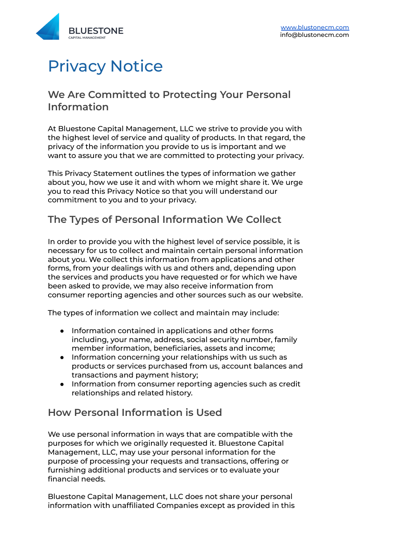

# Privacy Notice

### **We Are Committed to Protecting Your Personal Information**

At Bluestone Capital Management, LLC we strive to provide you with the highest level of service and quality of products. In that regard, the privacy of the information you provide to us is important and we want to assure you that we are committed to protecting your privacy.

This Privacy Statement outlines the types of information we gather about you, how we use it and with whom we might share it. We urge you to read this Privacy Notice so that you will understand our commitment to you and to your privacy.

### **The Types of Personal Information We Collect**

In order to provide you with the highest level of service possible, it is necessary for us to collect and maintain certain personal information about you. We collect this information from applications and other forms, from your dealings with us and others and, depending upon the services and products you have requested or for which we have been asked to provide, we may also receive information from consumer reporting agencies and other sources such as our website.

The types of information we collect and maintain may include:

- Information contained in applications and other forms including, your name, address, social security number, family member information, beneficiaries, assets and income;
- Information concerning your relationships with us such as products or services purchased from us, account balances and transactions and payment history;
- Information from consumer reporting agencies such as credit relationships and related history.

## **How Personal Information is Used**

We use personal information in ways that are compatible with the purposes for which we originally requested it. Bluestone Capital Management, LLC, may use your personal information for the purpose of processing your requests and transactions, offering or furnishing additional products and services or to evaluate your financial needs.

Bluestone Capital Management, LLC does not share your personal information with unaffiliated Companies except as provided in this